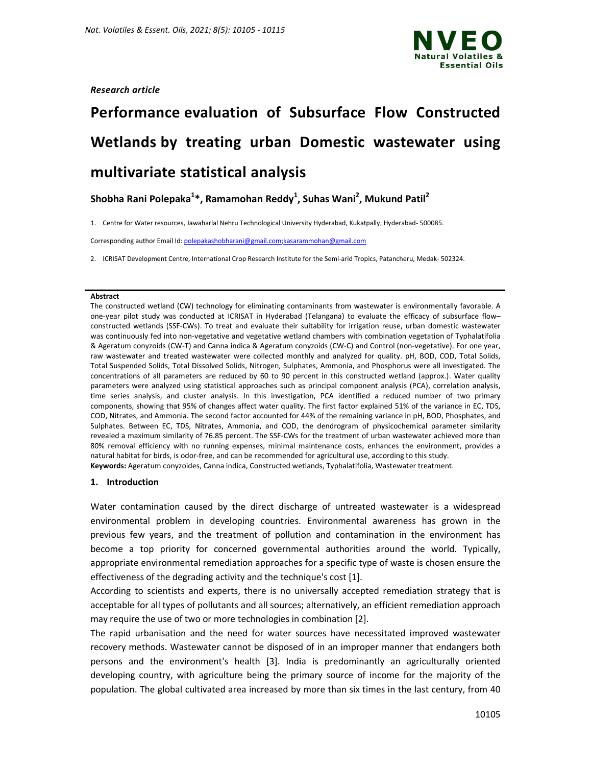

## *Research article*

# **Performance evaluation of Subsurface Flow Constructed Wetlands by treating urban Domestic wastewater using multivariate statistical analysis**

**Shobha Rani Polepaka<sup>1</sup> \*, Ramamohan Reddy<sup>1</sup> , Suhas Wani<sup>2</sup> , Mukund Patil<sup>2</sup>**

1. Centre for Water resources, Jawaharlal Nehru Technological University Hyderabad, Kukatpally, Hyderabad- 500085.

Corresponding author Email Id: polepakashobharani@gmail.com;kasarammohan@gmail.com

2. ICRISAT Development Centre, International Crop Research Institute for the Semi-arid Tropics, Patancheru, Medak- 502324.

#### **Abstract**

The constructed wetland (CW) technology for eliminating contaminants from wastewater is environmentally favorable. A one-year pilot study was conducted at ICRISAT in Hyderabad (Telangana) to evaluate the efficacy of subsurface flow– constructed wetlands (SSF-CWs). To treat and evaluate their suitability for irrigation reuse, urban domestic wastewater was continuously fed into non-vegetative and vegetative wetland chambers with combination vegetation of Typhalatifolia & Ageratum conyzoids (CW-T) and Canna indica & Ageratum conyzoids (CW-C) and Control (non-vegetative). For one year, raw wastewater and treated wastewater were collected monthly and analyzed for quality. pH, BOD, COD, Total Solids, Total Suspended Solids, Total Dissolved Solids, Nitrogen, Sulphates, Ammonia, and Phosphorus were all investigated. The concentrations of all parameters are reduced by 60 to 90 percent in this constructed wetland (approx.). Water quality parameters were analyzed using statistical approaches such as principal component analysis (PCA), correlation analysis, time series analysis, and cluster analysis. In this investigation, PCA identified a reduced number of two primary components, showing that 95% of changes affect water quality. The first factor explained 51% of the variance in EC, TDS, COD, Nitrates, and Ammonia. The second factor accounted for 44% of the remaining variance in pH, BOD, Phosphates, and Sulphates. Between EC, TDS, Nitrates, Ammonia, and COD, the dendrogram of physicochemical parameter similarity revealed a maximum similarity of 76.85 percent. The SSF-CWs for the treatment of urban wastewater achieved more than 80% removal efficiency with no running expenses, minimal maintenance costs, enhances the environment, provides a natural habitat for birds, is odor-free, and can be recommended for agricultural use, according to this study. **Keywords:** Ageratum conyzoides, Canna indica, Constructed wetlands, Typhalatifolia, Wastewater treatment.

## **1. Introduction**

Water contamination caused by the direct discharge of untreated wastewater is a widespread environmental problem in developing countries. Environmental awareness has grown in the previous few years, and the treatment of pollution and contamination in the environment has become a top priority for concerned governmental authorities around the world. Typically, appropriate environmental remediation approaches for a specific type of waste is chosen ensure the effectiveness of the degrading activity and the technique's cost [1].

According to scientists and experts, there is no universally accepted remediation strategy that is acceptable for all types of pollutants and all sources; alternatively, an efficient remediation approach may require the use of two or more technologies in combination [2].

The rapid urbanisation and the need for water sources have necessitated improved wastewater recovery methods. Wastewater cannot be disposed of in an improper manner that endangers both persons and the environment's health [3]. India is predominantly an agriculturally oriented developing country, with agriculture being the primary source of income for the majority of the population. The global cultivated area increased by more than six times in the last century, from 40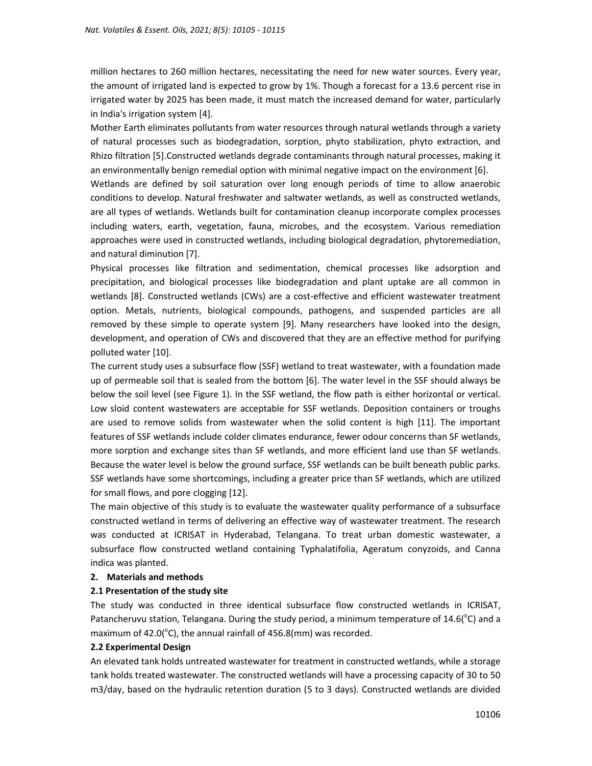million hectares to 260 million hectares, necessitating the need for new water sources. Every year, the amount of irrigated land is expected to grow by 1%. Though a forecast for a 13.6 percent rise in irrigated water by 2025 has been made, it must match the increased demand for water, particularly in India's irrigation system [4].

Mother Earth eliminates pollutants from water resources through natural wetlands through a variety of natural processes such as biodegradation, sorption, phyto stabilization, phyto extraction, and Rhizo filtration [5].Constructed wetlands degrade contaminants through natural processes, making it an environmentally benign remedial option with minimal negative impact on the environment [6].

Wetlands are defined by soil saturation over long enough periods of time to allow anaerobic conditions to develop. Natural freshwater and saltwater wetlands, as well as constructed wetlands, are all types of wetlands. Wetlands built for contamination cleanup incorporate complex processes including waters, earth, vegetation, fauna, microbes, and the ecosystem. Various remediation approaches were used in constructed wetlands, including biological degradation, phytoremediation, and natural diminution [7].

Physical processes like filtration and sedimentation, chemical processes like adsorption and precipitation, and biological processes like biodegradation and plant uptake are all common in wetlands [8]. Constructed wetlands (CWs) are a cost-effective and efficient wastewater treatment option. Metals, nutrients, biological compounds, pathogens, and suspended particles are all removed by these simple to operate system [9]. Many researchers have looked into the design, development, and operation of CWs and discovered that they are an effective method for purifying polluted water [10].

The current study uses a subsurface flow (SSF) wetland to treat wastewater, with a foundation made up of permeable soil that is sealed from the bottom [6]. The water level in the SSF should always be below the soil level (see Figure 1). In the SSF wetland, the flow path is either horizontal or vertical. Low sloid content wastewaters are acceptable for SSF wetlands. Deposition containers or troughs are used to remove solids from wastewater when the solid content is high [11]. The important features of SSF wetlands include colder climates endurance, fewer odour concerns than SF wetlands, more sorption and exchange sites than SF wetlands, and more efficient land use than SF wetlands. Because the water level is below the ground surface, SSF wetlands can be built beneath public parks. SSF wetlands have some shortcomings, including a greater price than SF wetlands, which are utilized for small flows, and pore clogging [12].

The main objective of this study is to evaluate the wastewater quality performance of a subsurface constructed wetland in terms of delivering an effective way of wastewater treatment. The research was conducted at ICRISAT in Hyderabad, Telangana. To treat urban domestic wastewater, a subsurface flow constructed wetland containing Typhalatifolia, Ageratum conyzoids, and Canna indica was planted.

#### **2. Materials and methods**

#### **2.1 Presentation of the study site**

The study was conducted in three identical subsurface flow constructed wetlands in ICRISAT, Patancheruvu station, Telangana. During the study period, a minimum temperature of 14.6( $^{\circ}$ C) and a maximum of 42.0( $^{\circ}$ C), the annual rainfall of 456.8(mm) was recorded.

#### **2.2 Experimental Design**

An elevated tank holds untreated wastewater for treatment in constructed wetlands, while a storage tank holds treated wastewater. The constructed wetlands will have a processing capacity of 30 to 50 m3/day, based on the hydraulic retention duration (5 to 3 days). Constructed wetlands are divided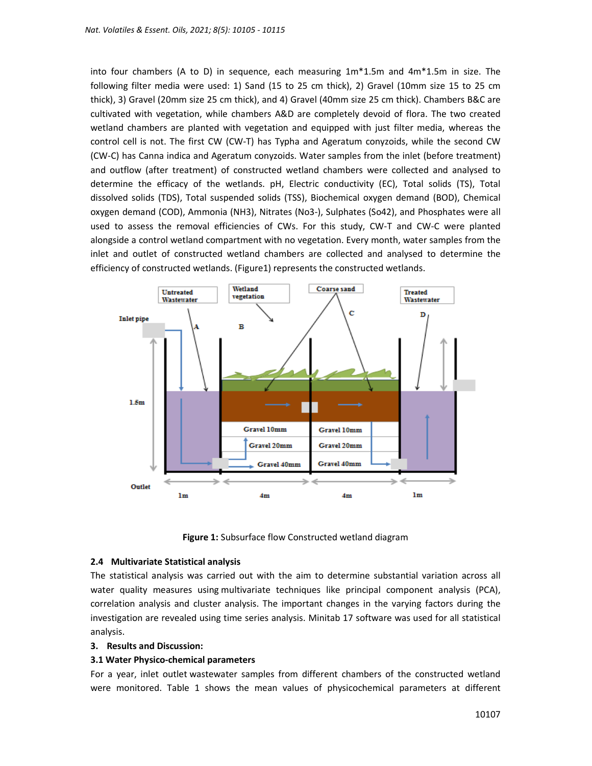into four chambers (A to D) in sequence, each measuring 1m\*1.5m and 4m\*1.5m in size. The following filter media were used: 1) Sand (15 to 25 cm thick), 2) Gravel (10mm size 15 to 25 cm thick), 3) Gravel (20mm size 25 cm thick), and 4) Gravel (40mm size 25 cm thick). Chambers B&C are cultivated with vegetation, while chambers A&D are completely devoid of flora. The two created wetland chambers are planted with vegetation and equipped with just filter media, whereas the control cell is not. The first CW (CW-T) has Typha and Ageratum conyzoids, while the second CW (CW-C) has Canna indica and Ageratum conyzoids. Water samples from the inlet (before treatment) and outflow (after treatment) of constructed wetland chambers were collected and analysed to determine the efficacy of the wetlands. pH, Electric conductivity (EC), Total solids (TS), Total dissolved solids (TDS), Total suspended solids (TSS), Biochemical oxygen demand (BOD), Chemical oxygen demand (COD), Ammonia (NH3), Nitrates (No3-), Sulphates (So42), and Phosphates were all used to assess the removal efficiencies of CWs. For this study, CW-T and CW-C were planted alongside a control wetland compartment with no vegetation. Every month, water samples from the inlet and outlet of constructed wetland chambers are collected and analysed to determine the efficiency of constructed wetlands. (Figure1) represents the constructed wetlands.



**Figure 1:** Subsurface flow Constructed wetland diagram

## **2.4 Multivariate Statistical analysis**

The statistical analysis was carried out with the aim to determine substantial variation across all water quality measures using multivariate techniques like principal component analysis (PCA), correlation analysis and cluster analysis. The important changes in the varying factors during the investigation are revealed using time series analysis. Minitab 17 software was used for all statistical analysis.

## **3. Results and Discussion:**

## **3.1 Water Physico-chemical parameters**

For a year, inlet outlet wastewater samples from different chambers of the constructed wetland were monitored. Table 1 shows the mean values of physicochemical parameters at different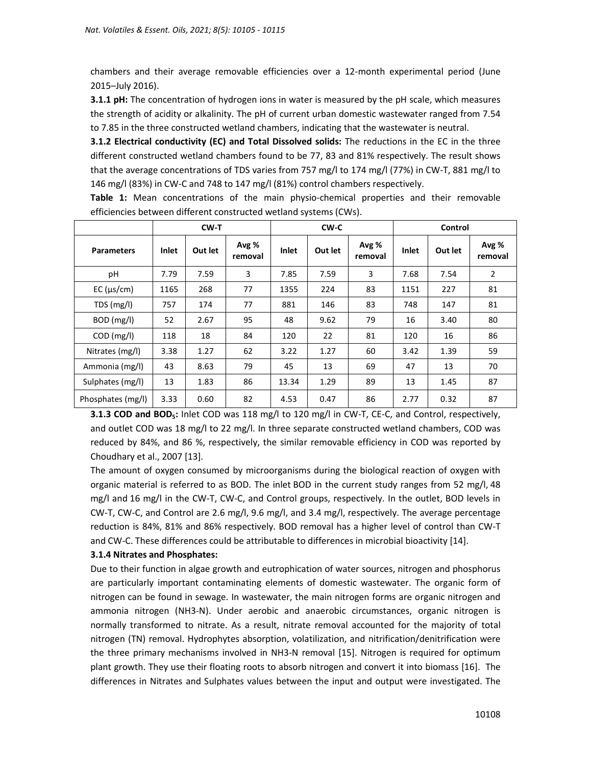chambers and their average removable efficiencies over a 12-month experimental period (June 2015–July 2016).

**3.1.1 pH:** The concentration of hydrogen ions in water is measured by the pH scale, which measures the strength of acidity or alkalinity. The pH of current urban domestic wastewater ranged from 7.54 to 7.85 in the three constructed wetland chambers, indicating that the wastewater is neutral.

**3.1.2 Electrical conductivity (EC) and Total Dissolved solids:** The reductions in the EC in the three different constructed wetland chambers found to be 77, 83 and 81% respectively. The result shows that the average concentrations of TDS varies from 757 mg/l to 174 mg/l (77%) in CW-T, 881 mg/l to 146 mg/l (83%) in CW-C and 748 to 147 mg/l (81%) control chambers respectively.

|                     | $CW-T$       |         |                  |       | CW-C    |                  | Control      |         |                  |
|---------------------|--------------|---------|------------------|-------|---------|------------------|--------------|---------|------------------|
| <b>Parameters</b>   | <b>Inlet</b> | Out let | Avg %<br>removal | Inlet | Out let | Avg %<br>removal | <b>Inlet</b> | Out let | Avg %<br>removal |
| pH                  | 7.79         | 7.59    | 3                | 7.85  | 7.59    | 3                | 7.68         | 7.54    | 2                |
| $EC$ ( $\mu s/cm$ ) | 1165         | 268     | 77               | 1355  | 224     | 83               | 1151         | 227     | 81               |
| TDS(mg/l)           | 757          | 174     | 77               | 881   | 146     | 83               | 748          | 147     | 81               |
| BOD (mg/l)          | 52           | 2.67    | 95               | 48    | 9.62    | 79               | 16           | 3.40    | 80               |
| $COD$ (mg/l)        | 118          | 18      | 84               | 120   | 22      | 81               | 120          | 16      | 86               |
| Nitrates (mg/l)     | 3.38         | 1.27    | 62               | 3.22  | 1.27    | 60               | 3.42         | 1.39    | 59               |
| Ammonia (mg/l)      | 43           | 8.63    | 79               | 45    | 13      | 69               | 47           | 13      | 70               |
| Sulphates (mg/l)    | 13           | 1.83    | 86               | 13.34 | 1.29    | 89               | 13           | 1.45    | 87               |
| Phosphates (mg/l)   | 3.33         | 0.60    | 82               | 4.53  | 0.47    | 86               | 2.77         | 0.32    | 87               |

**Table 1:** Mean concentrations of the main physio-chemical properties and their removable efficiencies between different constructed wetland systems (CWs).

**3.1.3 COD and BOD5:** Inlet COD was 118 mg/l to 120 mg/l in CW-T, CE-C, and Control, respectively, and outlet COD was 18 mg/l to 22 mg/l. In three separate constructed wetland chambers, COD was reduced by 84%, and 86 %, respectively, the similar removable efficiency in COD was reported by Choudhary et al., 2007 [13].

The amount of oxygen consumed by microorganisms during the biological reaction of oxygen with organic material is referred to as BOD. The inlet BOD in the current study ranges from 52 mg/l, 48 mg/l and 16 mg/l in the CW-T, CW-C, and Control groups, respectively. In the outlet, BOD levels in CW-T, CW-C, and Control are 2.6 mg/l, 9.6 mg/l, and 3.4 mg/l, respectively. The average percentage reduction is 84%, 81% and 86% respectively. BOD removal has a higher level of control than CW-T and CW-C. These differences could be attributable to differences in microbial bioactivity [14].

## **3.1.4 Nitrates and Phosphates:**

Due to their function in algae growth and eutrophication of water sources, nitrogen and phosphorus are particularly important contaminating elements of domestic wastewater. The organic form of nitrogen can be found in sewage. In wastewater, the main nitrogen forms are organic nitrogen and ammonia nitrogen (NH3-N). Under aerobic and anaerobic circumstances, organic nitrogen is normally transformed to nitrate. As a result, nitrate removal accounted for the majority of total nitrogen (TN) removal. Hydrophytes absorption, volatilization, and nitrification/denitrification were the three primary mechanisms involved in NH3-N removal [15]. Nitrogen is required for optimum plant growth. They use their floating roots to absorb nitrogen and convert it into biomass [16]. The differences in Nitrates and Sulphates values between the input and output were investigated. The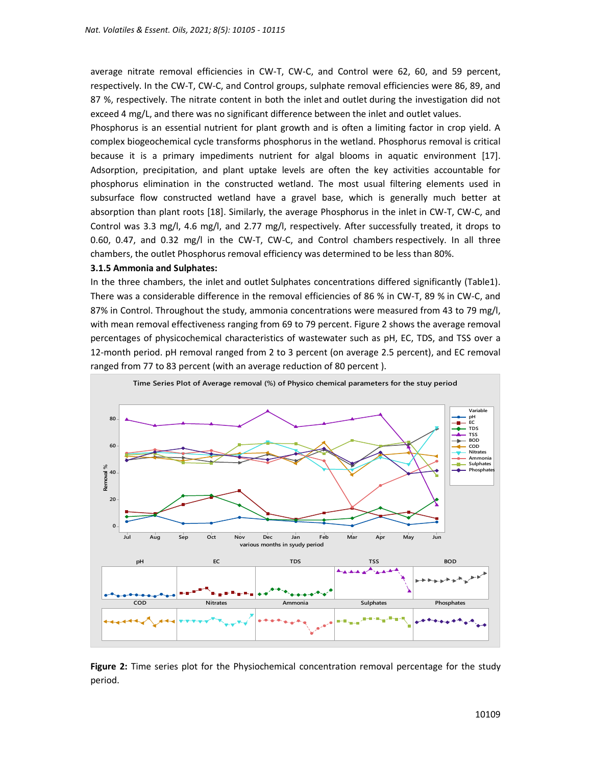average nitrate removal efficiencies in CW-T, CW-C, and Control were 62, 60, and 59 percent, respectively. In the CW-T, CW-C, and Control groups, sulphate removal efficiencies were 86, 89, and 87 %, respectively. The nitrate content in both the inlet and outlet during the investigation did not exceed 4 mg/L, and there was no significant difference between the inlet and outlet values.

Phosphorus is an essential nutrient for plant growth and is often a limiting factor in crop yield. A complex biogeochemical cycle transforms phosphorus in the wetland. Phosphorus removal is critical because it is a primary impediments nutrient for algal blooms in aquatic environment [17]. Adsorption, precipitation, and plant uptake levels are often the key activities accountable for phosphorus elimination in the constructed wetland. The most usual filtering elements used in subsurface flow constructed wetland have a gravel base, which is generally much better at absorption than plant roots [18]. Similarly, the average Phosphorus in the inlet in CW-T, CW-C, and Control was 3.3 mg/l, 4.6 mg/l, and 2.77 mg/l, respectively. After successfully treated, it drops to 0.60, 0.47, and 0.32 mg/l in the CW-T, CW-C, and Control chambers respectively. In all three chambers, the outlet Phosphorus removal efficiency was determined to be less than 80%.

#### **3.1.5 Ammonia and Sulphates:**

In the three chambers, the inlet and outlet Sulphates concentrations differed significantly (Table1). There was a considerable difference in the removal efficiencies of 86 % in CW-T, 89 % in CW-C, and 87% in Control. Throughout the study, ammonia concentrations were measured from 43 to 79 mg/l, with mean removal effectiveness ranging from 69 to 79 percent. Figure 2 shows the average removal percentages of physicochemical characteristics of wastewater such as pH, EC, TDS, and TSS over a 12-month period. pH removal ranged from 2 to 3 percent (on average 2.5 percent), and EC removal ranged from 77 to 83 percent (with an average reduction of 80 percent ).



**Figure 2:** Time series plot for the Physiochemical concentration removal percentage for the study period.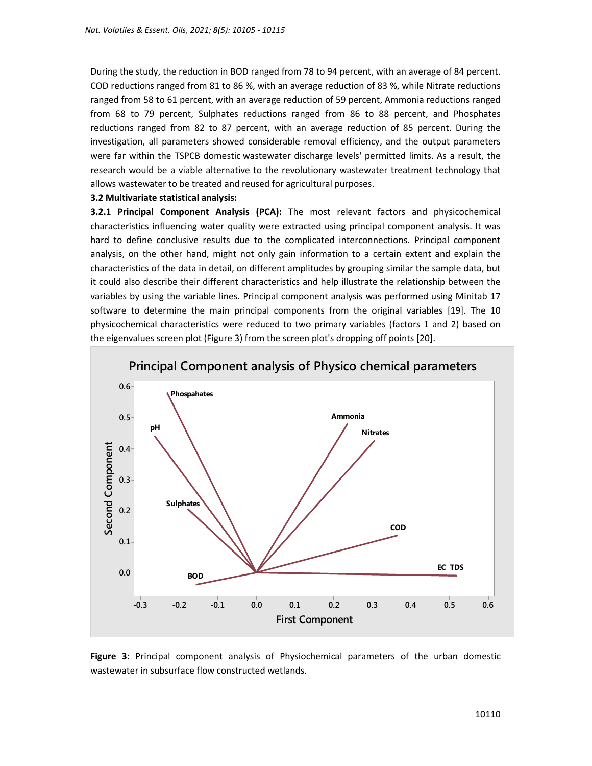During the study, the reduction in BOD ranged from 78 to 94 percent, with an average of 84 percent. COD reductions ranged from 81 to 86 %, with an average reduction of 83 %, while Nitrate reductions ranged from 58 to 61 percent, with an average reduction of 59 percent, Ammonia reductions ranged from 68 to 79 percent, Sulphates reductions ranged from 86 to 88 percent, and Phosphates reductions ranged from 82 to 87 percent, with an average reduction of 85 percent. During the investigation, all parameters showed considerable removal efficiency, and the output parameters were far within the TSPCB domestic wastewater discharge levels' permitted limits. As a result, the research would be a viable alternative to the revolutionary wastewater treatment technology that allows wastewater to be treated and reused for agricultural purposes.

#### **3.2 Multivariate statistical analysis:**

**3.2.1 Principal Component Analysis (PCA):** The most relevant factors and physicochemical characteristics influencing water quality were extracted using principal component analysis. It was hard to define conclusive results due to the complicated interconnections. Principal component analysis, on the other hand, might not only gain information to a certain extent and explain the characteristics of the data in detail, on different amplitudes by grouping similar the sample data, but it could also describe their different characteristics and help illustrate the relationship between the variables by using the variable lines. Principal component analysis was performed using Minitab 17 software to determine the main principal components from the original variables [19]. The 10 physicochemical characteristics were reduced to two primary variables (factors 1 and 2) based on the eigenvalues screen plot (Figure 3) from the screen plot's dropping off points [20].



**Figure 3:** Principal component analysis of Physiochemical parameters of the urban domestic wastewater in subsurface flow constructed wetlands.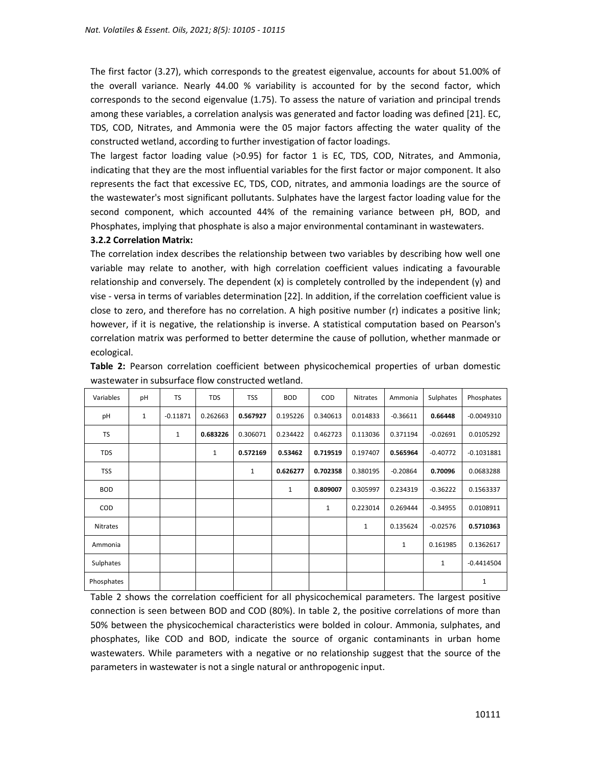The first factor (3.27), which corresponds to the greatest eigenvalue, accounts for about 51.00% of the overall variance. Nearly 44.00 % variability is accounted for by the second factor, which corresponds to the second eigenvalue (1.75). To assess the nature of variation and principal trends among these variables, a correlation analysis was generated and factor loading was defined [21]. EC, TDS, COD, Nitrates, and Ammonia were the 05 major factors affecting the water quality of the constructed wetland, according to further investigation of factor loadings.

The largest factor loading value (>0.95) for factor 1 is EC, TDS, COD, Nitrates, and Ammonia, indicating that they are the most influential variables for the first factor or major component. It also represents the fact that excessive EC, TDS, COD, nitrates, and ammonia loadings are the source of the wastewater's most significant pollutants. Sulphates have the largest factor loading value for the second component, which accounted 44% of the remaining variance between pH, BOD, and Phosphates, implying that phosphate is also a major environmental contaminant in wastewaters.

#### **3.2.2 Correlation Matrix:**

The correlation index describes the relationship between two variables by describing how well one variable may relate to another, with high correlation coefficient values indicating a favourable relationship and conversely. The dependent (x) is completely controlled by the independent (y) and vise - versa in terms of variables determination [22]. In addition, if the correlation coefficient value is close to zero, and therefore has no correlation. A high positive number (r) indicates a positive link; however, if it is negative, the relationship is inverse. A statistical computation based on Pearson's correlation matrix was performed to better determine the cause of pollution, whether manmade or ecological.

| Variables       | pH | <b>TS</b>    | <b>TDS</b>   | <b>TSS</b> | <b>BOD</b>   | COD      | Nitrates     | Ammonia      | Sulphates    | Phosphates   |
|-----------------|----|--------------|--------------|------------|--------------|----------|--------------|--------------|--------------|--------------|
| pH              | 1  | $-0.11871$   | 0.262663     | 0.567927   | 0.195226     | 0.340613 | 0.014833     | $-0.36611$   | 0.66448      | $-0.0049310$ |
| TS              |    | $\mathbf{1}$ | 0.683226     | 0.306071   | 0.234422     | 0.462723 | 0.113036     | 0.371194     | $-0.02691$   | 0.0105292    |
| <b>TDS</b>      |    |              | $\mathbf{1}$ | 0.572169   | 0.53462      | 0.719519 | 0.197407     | 0.565964     | $-0.40772$   | $-0.1031881$ |
| <b>TSS</b>      |    |              |              | 1          | 0.626277     | 0.702358 | 0.380195     | $-0.20864$   | 0.70096      | 0.0683288    |
| <b>BOD</b>      |    |              |              |            | $\mathbf{1}$ | 0.809007 | 0.305997     | 0.234319     | $-0.36222$   | 0.1563337    |
| <b>COD</b>      |    |              |              |            |              | 1        | 0.223014     | 0.269444     | $-0.34955$   | 0.0108911    |
| <b>Nitrates</b> |    |              |              |            |              |          | $\mathbf{1}$ | 0.135624     | $-0.02576$   | 0.5710363    |
| Ammonia         |    |              |              |            |              |          |              | $\mathbf{1}$ | 0.161985     | 0.1362617    |
| Sulphates       |    |              |              |            |              |          |              |              | $\mathbf{1}$ | $-0.4414504$ |
| Phosphates      |    |              |              |            |              |          |              |              |              | 1            |

**Table 2:** Pearson correlation coefficient between physicochemical properties of urban domestic wastewater in subsurface flow constructed wetland.

Table 2 shows the correlation coefficient for all physicochemical parameters. The largest positive connection is seen between BOD and COD (80%). In table 2, the positive correlations of more than 50% between the physicochemical characteristics were bolded in colour. Ammonia, sulphates, and phosphates, like COD and BOD, indicate the source of organic contaminants in urban home wastewaters. While parameters with a negative or no relationship suggest that the source of the parameters in wastewater is not a single natural or anthropogenic input.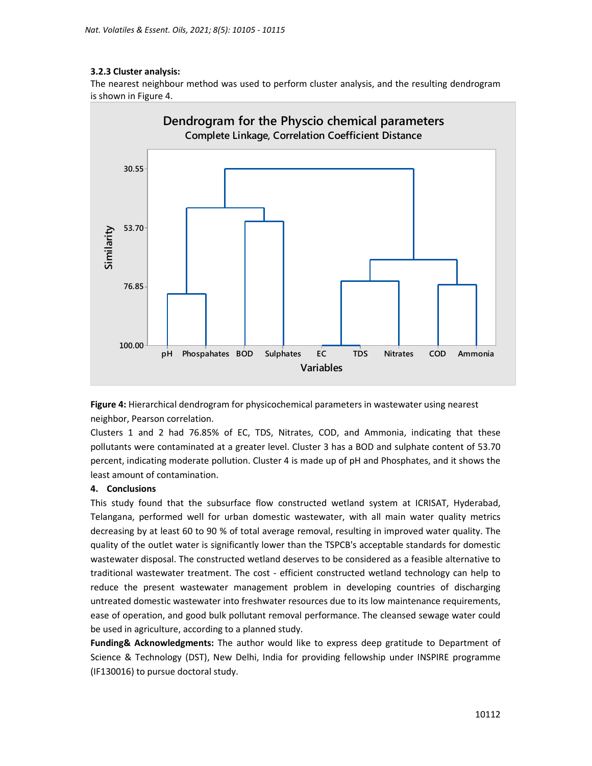## **3.2.3 Cluster analysis:**

The nearest neighbour method was used to perform cluster analysis, and the resulting dendrogram is shown in Figure 4.



**Figure 4:** Hierarchical dendrogram for physicochemical parameters in wastewater using nearest neighbor, Pearson correlation.

Clusters 1 and 2 had 76.85% of EC, TDS, Nitrates, COD, and Ammonia, indicating that these pollutants were contaminated at a greater level. Cluster 3 has a BOD and sulphate content of 53.70 percent, indicating moderate pollution. Cluster 4 is made up of pH and Phosphates, and it shows the least amount of contamination.

## **4. Conclusions**

This study found that the subsurface flow constructed wetland system at ICRISAT, Hyderabad, Telangana, performed well for urban domestic wastewater, with all main water quality metrics decreasing by at least 60 to 90 % of total average removal, resulting in improved water quality. The quality of the outlet water is significantly lower than the TSPCB's acceptable standards for domestic wastewater disposal. The constructed wetland deserves to be considered as a feasible alternative to traditional wastewater treatment. The cost - efficient constructed wetland technology can help to reduce the present wastewater management problem in developing countries of discharging untreated domestic wastewater into freshwater resources due to its low maintenance requirements, ease of operation, and good bulk pollutant removal performance. The cleansed sewage water could be used in agriculture, according to a planned study.

**Funding& Acknowledgments:** The author would like to express deep gratitude to Department of Science & Technology (DST), New Delhi, India for providing fellowship under INSPIRE programme (IF130016) to pursue doctoral study.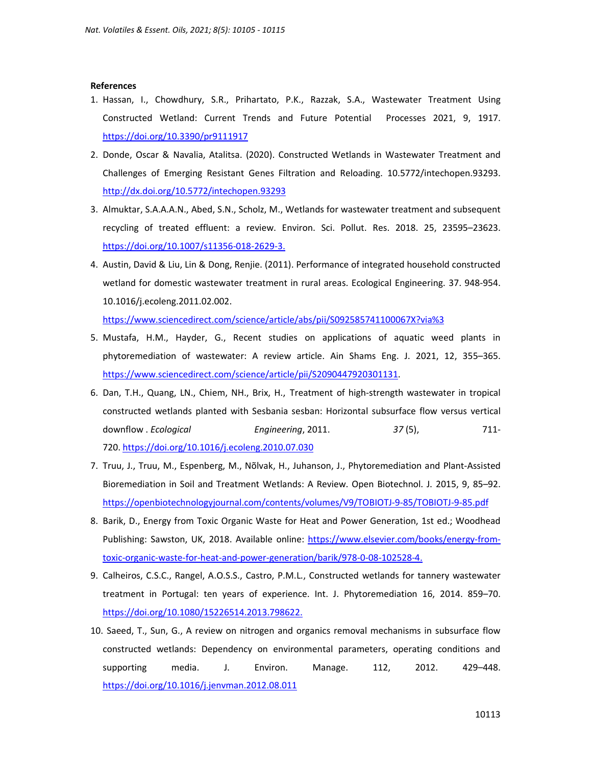#### **References**

- 1. Hassan, I., Chowdhury, S.R., Prihartato, P.K., Razzak, S.A., Wastewater Treatment Using Constructed Wetland: Current Trends and Future Potential Processes 2021, 9, 1917. https://doi.org/10.3390/pr9111917
- 2. Donde, Oscar & Navalia, Atalitsa. (2020). Constructed Wetlands in Wastewater Treatment and Challenges of Emerging Resistant Genes Filtration and Reloading. 10.5772/intechopen.93293. http://dx.doi.org/10.5772/intechopen.93293
- 3. Almuktar, S.A.A.A.N., Abed, S.N., Scholz, M., Wetlands for wastewater treatment and subsequent recycling of treated effluent: a review. Environ. Sci. Pollut. Res. 2018. 25, 23595–23623. https://doi.org/10.1007/s11356-018-2629-3.
- 4. Austin, David & Liu, Lin & Dong, Renjie. (2011). Performance of integrated household constructed wetland for domestic wastewater treatment in rural areas. Ecological Engineering. 37. 948-954. 10.1016/j.ecoleng.2011.02.002.

https://www.sciencedirect.com/science/article/abs/pii/S092585741100067X?via%3

- 5. Mustafa, H.M., Hayder, G., Recent studies on applications of aquatic weed plants in phytoremediation of wastewater: A review article. Ain Shams Eng. J. 2021, 12, 355–365. https://www.sciencedirect.com/science/article/pii/S2090447920301131.
- 6. Dan, T.H., Quang, LN., Chiem, NH., Brix, H., Treatment of high-strength wastewater in tropical constructed wetlands planted with Sesbania sesban: Horizontal subsurface flow versus vertical downflow . *Ecological Engineering*, 2011. *37* (5), 711- 720. https://doi.org/10.1016/j.ecoleng.2010.07.030
- 7. Truu, J., Truu, M., Espenberg, M., Nõlvak, H., Juhanson, J., Phytoremediation and Plant-Assisted Bioremediation in Soil and Treatment Wetlands: A Review. Open Biotechnol. J. 2015, 9, 85–92. https://openbiotechnologyjournal.com/contents/volumes/V9/TOBIOTJ-9-85/TOBIOTJ-9-85.pdf
- 8. Barik, D., Energy from Toxic Organic Waste for Heat and Power Generation, 1st ed.; Woodhead Publishing: Sawston, UK, 2018. Available online: https://www.elsevier.com/books/energy-fromtoxic-organic-waste-for-heat-and-power-generation/barik/978-0-08-102528-4.
- 9. Calheiros, C.S.C., Rangel, A.O.S.S., Castro, P.M.L., Constructed wetlands for tannery wastewater treatment in Portugal: ten years of experience. Int. J. Phytoremediation 16, 2014. 859–70. https://doi.org/10.1080/15226514.2013.798622.
- 10. Saeed, T., Sun, G., A review on nitrogen and organics removal mechanisms in subsurface flow constructed wetlands: Dependency on environmental parameters, operating conditions and supporting media. J. Environ. Manage. 112, 2012. 429–448. https://doi.org/10.1016/j.jenvman.2012.08.011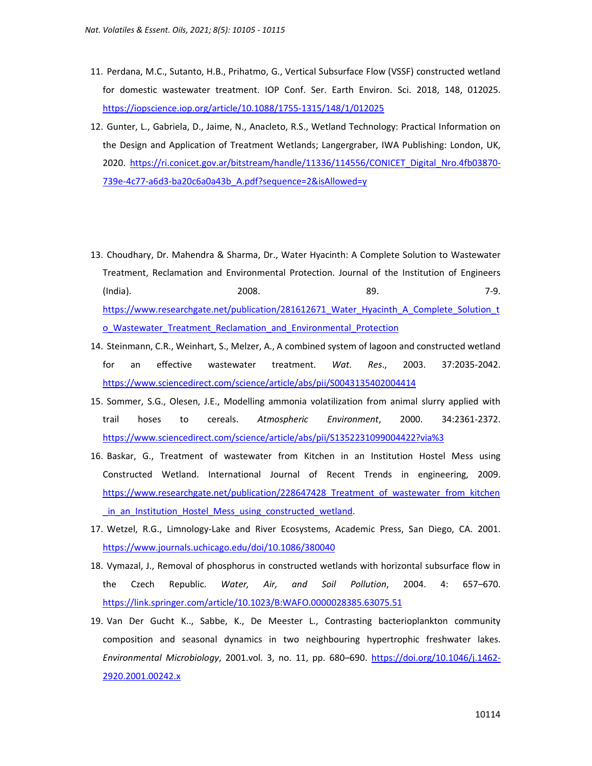- 11. Perdana, M.C., Sutanto, H.B., Prihatmo, G., Vertical Subsurface Flow (VSSF) constructed wetland for domestic wastewater treatment. IOP Conf. Ser. Earth Environ. Sci. 2018, 148, 012025. https://iopscience.iop.org/article/10.1088/1755-1315/148/1/012025
- 12. Gunter, L., Gabriela, D., Jaime, N., Anacleto, R.S., Wetland Technology: Practical Information on the Design and Application of Treatment Wetlands; Langergraber, IWA Publishing: London, UK, 2020. https://ri.conicet.gov.ar/bitstream/handle/11336/114556/CONICET\_Digital\_Nro.4fb03870- 739e-4c77-a6d3-ba20c6a0a43b\_A.pdf?sequence=2&isAllowed=y
- 13. Choudhary, Dr. Mahendra & Sharma, Dr., Water Hyacinth: A Complete Solution to Wastewater Treatment, Reclamation and Environmental Protection. Journal of the Institution of Engineers (India). 2008. 89. 7-9. https://www.researchgate.net/publication/281612671\_Water\_Hyacinth\_A\_Complete\_Solution\_t o Wastewater Treatment Reclamation and Environmental Protection
- 14. Steinmann, C.R., Weinhart, S., Melzer, A., A combined system of lagoon and constructed wetland for an effective wastewater treatment. *Wat. Res*., 2003. 37:2035-2042. https://www.sciencedirect.com/science/article/abs/pii/S0043135402004414
- 15. Sommer, S.G., Olesen, J.E., Modelling ammonia volatilization from animal slurry applied with trail hoses to cereals. *Atmospheric Environment*, 2000. 34:2361-2372. https://www.sciencedirect.com/science/article/abs/pii/S1352231099004422?via%3
- 16. Baskar, G., Treatment of wastewater from Kitchen in an Institution Hostel Mess using Constructed Wetland. International Journal of Recent Trends in engineering, 2009. https://www.researchgate.net/publication/228647428 Treatment of wastewater from kitchen \_in\_an\_Institution\_Hostel\_Mess\_using\_constructed\_wetland.
- 17. Wetzel, R.G., Limnology-Lake and River Ecosystems, Academic Press, San Diego, CA. 2001. https://www.journals.uchicago.edu/doi/10.1086/380040
- 18. Vymazal, J., Removal of phosphorus in constructed wetlands with horizontal subsurface flow in the Czech Republic. *Water, Air, and Soil Pollution*, 2004. 4: 657–670. https://link.springer.com/article/10.1023/B:WAFO.0000028385.63075.51
- 19. Van Der Gucht K.., Sabbe, K., De Meester L., Contrasting bacterioplankton community composition and seasonal dynamics in two neighbouring hypertrophic freshwater lakes. *Environmental Microbiology*, 2001.vol. 3, no. 11, pp. 680–690. https://doi.org/10.1046/j.1462- 2920.2001.00242.x